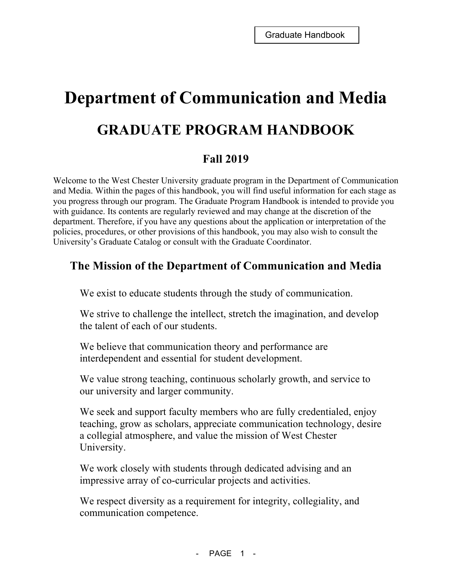# **Department of Communication and Media GRADUATE PROGRAM HANDBOOK**

# **Fall 2019**

Welcome to the West Chester University graduate program in the Department of Communication and Media. Within the pages of this handbook, you will find useful information for each stage as you progress through our program. The Graduate Program Handbook is intended to provide you with guidance. Its contents are regularly reviewed and may change at the discretion of the department. Therefore, if you have any questions about the application or interpretation of the policies, procedures, or other provisions of this handbook, you may also wish to consult the University's Graduate Catalog or consult with the Graduate Coordinator.

# **The Mission of the Department of Communication and Media**

We exist to educate students through the study of communication.

We strive to challenge the intellect, stretch the imagination, and develop the talent of each of our students.

We believe that communication theory and performance are interdependent and essential for student development.

We value strong teaching, continuous scholarly growth, and service to our university and larger community.

We seek and support faculty members who are fully credentialed, enjoy teaching, grow as scholars, appreciate communication technology, desire a collegial atmosphere, and value the mission of West Chester University.

We work closely with students through dedicated advising and an impressive array of co-curricular projects and activities.

We respect diversity as a requirement for integrity, collegiality, and communication competence.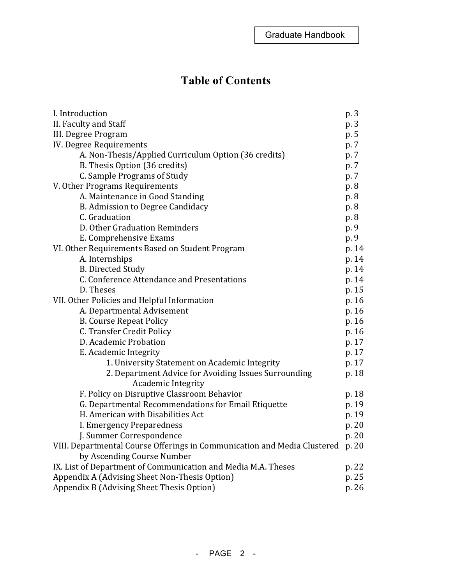# **Table of Contents**

| I. Introduction                                                          | p. 3  |  |
|--------------------------------------------------------------------------|-------|--|
| II. Faculty and Staff                                                    | p. 3  |  |
| III. Degree Program                                                      |       |  |
| IV. Degree Requirements                                                  |       |  |
| A. Non-Thesis/Applied Curriculum Option (36 credits)                     | p. 7  |  |
| B. Thesis Option (36 credits)                                            | p. 7  |  |
| C. Sample Programs of Study                                              | p. 7  |  |
| V. Other Programs Requirements                                           | p. 8  |  |
| A. Maintenance in Good Standing                                          | p. 8  |  |
| B. Admission to Degree Candidacy                                         | p. 8  |  |
| C. Graduation                                                            | p. 8  |  |
| D. Other Graduation Reminders                                            | p. 9  |  |
| E. Comprehensive Exams                                                   | p. 9  |  |
| VI. Other Requirements Based on Student Program                          | p. 14 |  |
| A. Internships                                                           | p. 14 |  |
| <b>B. Directed Study</b>                                                 | p. 14 |  |
| C. Conference Attendance and Presentations                               | p. 14 |  |
| D. Theses                                                                | p. 15 |  |
| VII. Other Policies and Helpful Information                              | p. 16 |  |
| A. Departmental Advisement                                               | p. 16 |  |
| <b>B. Course Repeat Policy</b>                                           | p. 16 |  |
| C. Transfer Credit Policy                                                | p. 16 |  |
| D. Academic Probation                                                    | p. 17 |  |
| E. Academic Integrity                                                    | p. 17 |  |
| 1. University Statement on Academic Integrity                            | p. 17 |  |
| 2. Department Advice for Avoiding Issues Surrounding                     | p. 18 |  |
| <b>Academic Integrity</b>                                                |       |  |
| F. Policy on Disruptive Classroom Behavior                               | p. 18 |  |
| G. Departmental Recommendations for Email Etiquette                      | p. 19 |  |
| H. American with Disabilities Act                                        | p. 19 |  |
| I. Emergency Preparedness                                                | p. 20 |  |
| J. Summer Correspondence                                                 | p. 20 |  |
| VIII. Departmental Course Offerings in Communication and Media Clustered | p. 20 |  |
| by Ascending Course Number                                               |       |  |
| IX. List of Department of Communication and Media M.A. Theses            | p. 22 |  |
| Appendix A (Advising Sheet Non-Thesis Option)                            | p. 25 |  |
| Appendix B (Advising Sheet Thesis Option)                                | p. 26 |  |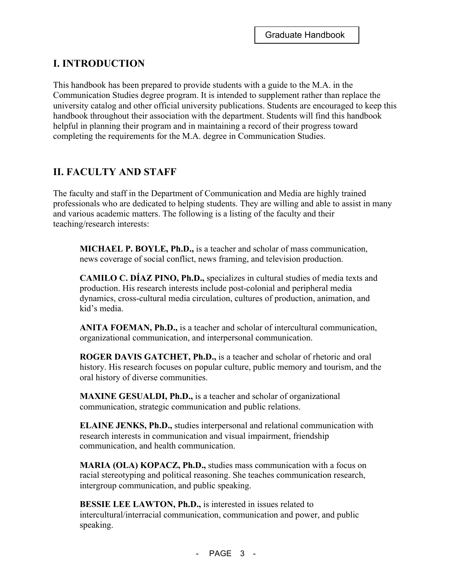# **I. INTRODUCTION**

This handbook has been prepared to provide students with a guide to the M.A. in the Communication Studies degree program. It is intended to supplement rather than replace the university catalog and other official university publications. Students are encouraged to keep this handbook throughout their association with the department. Students will find this handbook helpful in planning their program and in maintaining a record of their progress toward completing the requirements for the M.A. degree in Communication Studies.

# **II. FACULTY AND STAFF**

The faculty and staff in the Department of Communication and Media are highly trained professionals who are dedicated to helping students. They are willing and able to assist in many and various academic matters. The following is a listing of the faculty and their teaching/research interests:

**MICHAEL P. BOYLE, Ph.D.,** is a teacher and scholar of mass communication, news coverage of social conflict, news framing, and television production.

**CAMILO C. DÍAZ PINO, Ph.D.,** specializes in cultural studies of media texts and production. His research interests include post-colonial and peripheral media dynamics, cross-cultural media circulation, cultures of production, animation, and kid's media.

**ANITA FOEMAN, Ph.D.,** is a teacher and scholar of intercultural communication, organizational communication, and interpersonal communication.

**ROGER DAVIS GATCHET, Ph.D.,** is a teacher and scholar of rhetoric and oral history. His research focuses on popular culture, public memory and tourism, and the oral history of diverse communities.

**MAXINE GESUALDI, Ph.D.,** is a teacher and scholar of organizational communication, strategic communication and public relations.

**ELAINE JENKS, Ph.D.,** studies interpersonal and relational communication with research interests in communication and visual impairment, friendship communication, and health communication.

**MARIA (OLA) KOPACZ, Ph.D.,** studies mass communication with a focus on racial stereotyping and political reasoning. She teaches communication research, intergroup communication, and public speaking.

**BESSIE LEE LAWTON, Ph.D.,** is interested in issues related to intercultural/interracial communication, communication and power, and public speaking.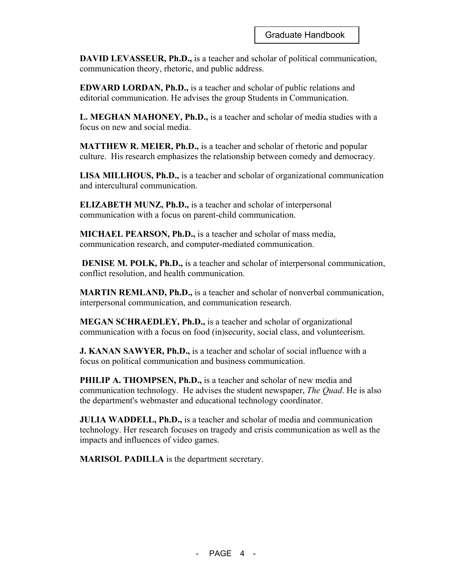**DAVID LEVASSEUR, Ph.D.,** is a teacher and scholar of political communication, communication theory, rhetoric, and public address.

**EDWARD LORDAN, Ph.D.,** is a teacher and scholar of public relations and editorial communication. He advises the group Students in Communication.

**L. MEGHAN MAHONEY, Ph.D.,** is a teacher and scholar of media studies with a focus on new and social media.

**MATTHEW R. MEIER, Ph.D.,** is a teacher and scholar of rhetoric and popular culture. His research emphasizes the relationship between comedy and democracy.

**LISA MILLHOUS, Ph.D.,** is a teacher and scholar of organizational communication and intercultural communication.

**ELIZABETH MUNZ, Ph.D.,** is a teacher and scholar of interpersonal communication with a focus on parent-child communication.

**MICHAEL PEARSON, Ph.D.,** is a teacher and scholar of mass media, communication research, and computer-mediated communication.

**DENISE M. POLK, Ph.D.,** is a teacher and scholar of interpersonal communication, conflict resolution, and health communication.

**MARTIN REMLAND, Ph.D.,** is a teacher and scholar of nonverbal communication, interpersonal communication, and communication research.

**MEGAN SCHRAEDLEY, Ph.D.,** is a teacher and scholar of organizational communication with a focus on food (in)security, social class, and volunteerism.

**J. KANAN SAWYER, Ph.D.,** is a teacher and scholar of social influence with a focus on political communication and business communication.

**PHILIP A. THOMPSEN, Ph.D.,** is a teacher and scholar of new media and communication technology. He advises the student newspaper, *The Quad*. He is also the department's webmaster and educational technology coordinator.

**JULIA WADDELL, Ph.D.,** is a teacher and scholar of media and communication technology. Her research focuses on tragedy and crisis communication as well as the impacts and influences of video games.

**MARISOL PADILLA** is the department secretary.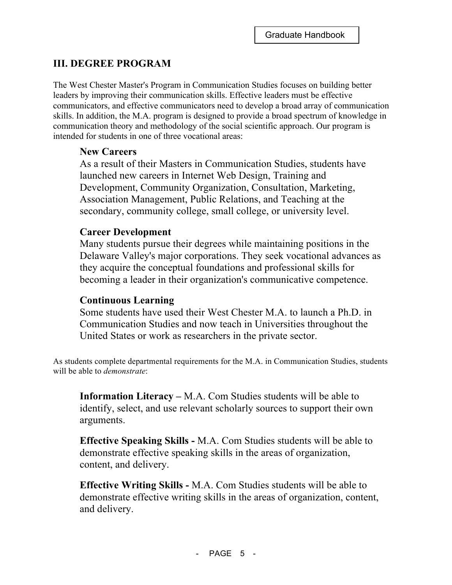# **III. DEGREE PROGRAM**

The West Chester Master's Program in Communication Studies focuses on building better leaders by improving their communication skills. Effective leaders must be effective communicators, and effective communicators need to develop a broad array of communication skills. In addition, the M.A. program is designed to provide a broad spectrum of knowledge in communication theory and methodology of the social scientific approach. Our program is intended for students in one of three vocational areas:

# **New Careers**

As a result of their Masters in Communication Studies, students have launched new careers in Internet Web Design, Training and Development, Community Organization, Consultation, Marketing, Association Management, Public Relations, and Teaching at the secondary, community college, small college, or university level.

# **Career Development**

Many students pursue their degrees while maintaining positions in the Delaware Valley's major corporations. They seek vocational advances as they acquire the conceptual foundations and professional skills for becoming a leader in their organization's communicative competence.

# **Continuous Learning**

Some students have used their West Chester M.A. to launch a Ph.D. in Communication Studies and now teach in Universities throughout the United States or work as researchers in the private sector.

As students complete departmental requirements for the M.A. in Communication Studies, students will be able to *demonstrate*:

**Information Literacy –** M.A. Com Studies students will be able to identify, select, and use relevant scholarly sources to support their own arguments.

**Effective Speaking Skills -** M.A. Com Studies students will be able to demonstrate effective speaking skills in the areas of organization, content, and delivery.

**Effective Writing Skills -** M.A. Com Studies students will be able to demonstrate effective writing skills in the areas of organization, content, and delivery.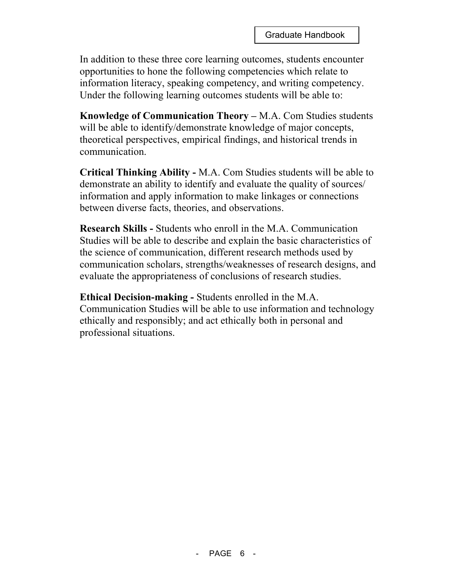In addition to these three core learning outcomes, students encounter opportunities to hone the following competencies which relate to information literacy, speaking competency, and writing competency. Under the following learning outcomes students will be able to:

**Knowledge of Communication Theory –** M.A. Com Studies students will be able to identify/demonstrate knowledge of major concepts, theoretical perspectives, empirical findings, and historical trends in communication.

**Critical Thinking Ability -** M.A. Com Studies students will be able to demonstrate an ability to identify and evaluate the quality of sources/ information and apply information to make linkages or connections between diverse facts, theories, and observations.

**Research Skills -** Students who enroll in the M.A. Communication Studies will be able to describe and explain the basic characteristics of the science of communication, different research methods used by communication scholars, strengths/weaknesses of research designs, and evaluate the appropriateness of conclusions of research studies.

**Ethical Decision-making -** Students enrolled in the M.A. Communication Studies will be able to use information and technology ethically and responsibly; and act ethically both in personal and professional situations.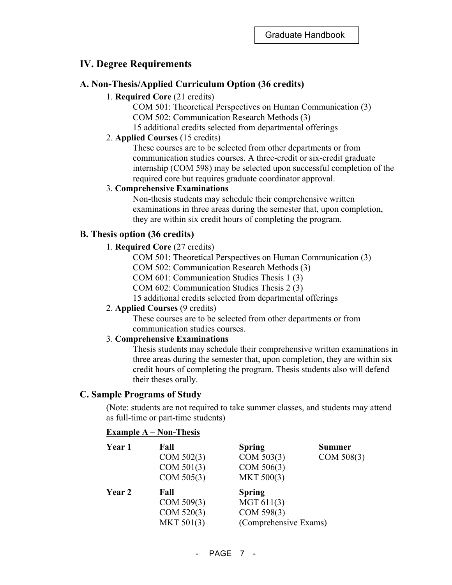# **IV. Degree Requirements**

## **A. Non-Thesis/Applied Curriculum Option (36 credits)**

## 1. **Required Core** (21 credits)

COM 501: Theoretical Perspectives on Human Communication (3) COM 502: Communication Research Methods (3) 15 additional credits selected from departmental offerings

#### 2. **Applied Courses** (15 credits)

These courses are to be selected from other departments or from communication studies courses. A three-credit or six-credit graduate internship (COM 598) may be selected upon successful completion of the required core but requires graduate coordinator approval.

#### 3. **Comprehensive Examinations**

Non-thesis students may schedule their comprehensive written examinations in three areas during the semester that, upon completion, they are within six credit hours of completing the program.

## **B. Thesis option (36 credits)**

#### 1. **Required Core** (27 credits)

COM 501: Theoretical Perspectives on Human Communication (3)

COM 502: Communication Research Methods (3)

- COM 601: Communication Studies Thesis 1 (3)
- COM 602: Communication Studies Thesis 2 (3)

15 additional credits selected from departmental offerings

#### 2. **Applied Courses** (9 credits)

These courses are to be selected from other departments or from communication studies courses.

#### 3. **Comprehensive Examinations**

Thesis students may schedule their comprehensive written examinations in three areas during the semester that, upon completion, they are within six credit hours of completing the program. Thesis students also will defend their theses orally.

#### **C. Sample Programs of Study**

(Note: students are not required to take summer classes, and students may attend as full-time or part-time students)

#### **Example A – Non-Thesis**

| Year 1 | Fall<br>COM 502(3)<br>COM 501(3)       | <b>Spring</b><br>COM 503(3)<br>COM 506(3)         | <b>Summer</b><br>COM 508(3) |
|--------|----------------------------------------|---------------------------------------------------|-----------------------------|
| Year 2 | COM 505(3)<br>Fall                     | MKT 500(3)<br><b>Spring</b>                       |                             |
|        | COM 509(3)<br>COM 520(3)<br>MKT 501(3) | MGT 611(3)<br>COM 598(3)<br>(Comprehensive Exams) |                             |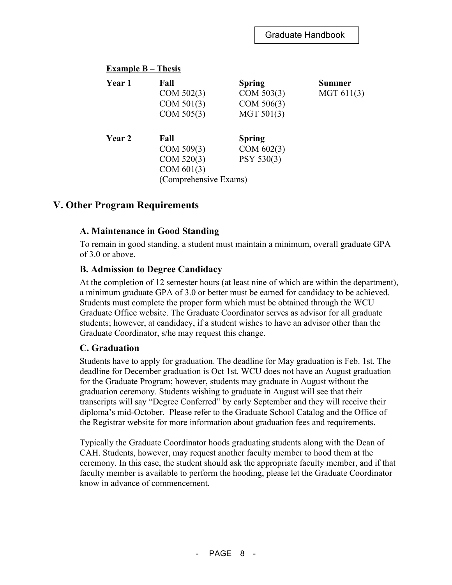| Example $B$ – Thesis |                       |               |            |  |  |
|----------------------|-----------------------|---------------|------------|--|--|
| Year 1               | Fall                  | <b>Spring</b> | Summer     |  |  |
|                      | COM 502(3)            | COM 503(3)    | MGT 611(3) |  |  |
|                      | COM 501(3)            | COM 506(3)    |            |  |  |
|                      | COM 505(3)            | MGT 501(3)    |            |  |  |
| Year 2               | Fall                  | <b>Spring</b> |            |  |  |
|                      | COM 509(3)            | COM 602(3)    |            |  |  |
|                      | COM 520(3)            | PSY 530(3)    |            |  |  |
|                      | COM 601(3)            |               |            |  |  |
|                      | (Comprehensive Exams) |               |            |  |  |

# **V. Other Program Requirements**

#### **A. Maintenance in Good Standing**

To remain in good standing, a student must maintain a minimum, overall graduate GPA of 3.0 or above.

#### **B. Admission to Degree Candidacy**

At the completion of 12 semester hours (at least nine of which are within the department), a minimum graduate GPA of 3.0 or better must be earned for candidacy to be achieved. Students must complete the proper form which must be obtained through the WCU Graduate Office website. The Graduate Coordinator serves as advisor for all graduate students; however, at candidacy, if a student wishes to have an advisor other than the Graduate Coordinator, s/he may request this change.

#### **C. Graduation**

Students have to apply for graduation. The deadline for May graduation is Feb. 1st. The deadline for December graduation is Oct 1st. WCU does not have an August graduation for the Graduate Program; however, students may graduate in August without the graduation ceremony. Students wishing to graduate in August will see that their transcripts will say "Degree Conferred" by early September and they will receive their diploma's mid-October. Please refer to the Graduate School Catalog and the Office of the Registrar website for more information about graduation fees and requirements.

Typically the Graduate Coordinator hoods graduating students along with the Dean of CAH. Students, however, may request another faculty member to hood them at the ceremony. In this case, the student should ask the appropriate faculty member, and if that faculty member is available to perform the hooding, please let the Graduate Coordinator know in advance of commencement.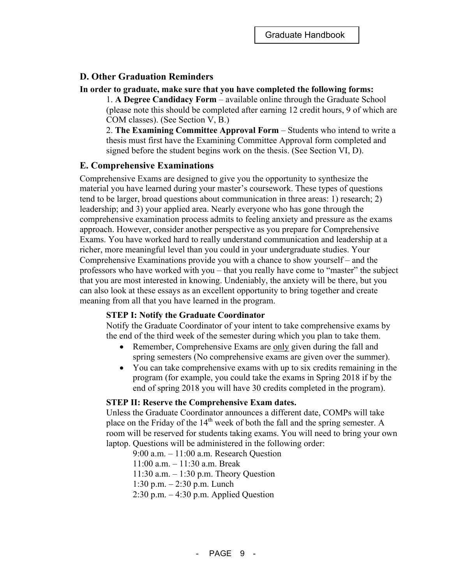## **D. Other Graduation Reminders**

#### **In order to graduate, make sure that you have completed the following forms:**

1. **A Degree Candidacy Form** – available online through the Graduate School (please note this should be completed after earning 12 credit hours, 9 of which are COM classes). (See Section V, B.)

2. **The Examining Committee Approval Form** – Students who intend to write a thesis must first have the Examining Committee Approval form completed and signed before the student begins work on the thesis. (See Section VI, D).

#### **E. Comprehensive Examinations**

Comprehensive Exams are designed to give you the opportunity to synthesize the material you have learned during your master's coursework. These types of questions tend to be larger, broad questions about communication in three areas: 1) research; 2) leadership; and 3) your applied area. Nearly everyone who has gone through the comprehensive examination process admits to feeling anxiety and pressure as the exams approach. However, consider another perspective as you prepare for Comprehensive Exams. You have worked hard to really understand communication and leadership at a richer, more meaningful level than you could in your undergraduate studies. Your Comprehensive Examinations provide you with a chance to show yourself – and the professors who have worked with you – that you really have come to "master" the subject that you are most interested in knowing. Undeniably, the anxiety will be there, but you can also look at these essays as an excellent opportunity to bring together and create meaning from all that you have learned in the program.

#### **STEP I: Notify the Graduate Coordinator**

Notify the Graduate Coordinator of your intent to take comprehensive exams by the end of the third week of the semester during which you plan to take them.

- Remember, Comprehensive Exams are only given during the fall and spring semesters (No comprehensive exams are given over the summer).
- You can take comprehensive exams with up to six credits remaining in the program (for example, you could take the exams in Spring 2018 if by the end of spring 2018 you will have 30 credits completed in the program).

#### **STEP II: Reserve the Comprehensive Exam dates.**

Unless the Graduate Coordinator announces a different date, COMPs will take place on the Friday of the  $14<sup>th</sup>$  week of both the fall and the spring semester. A room will be reserved for students taking exams. You will need to bring your own laptop. Questions will be administered in the following order:

9:00 a.m. – 11:00 a.m. Research Question 11:00 a.m. – 11:30 a.m. Break

11:30 a.m. – 1:30 p.m. Theory Question

1:30 p.m. – 2:30 p.m. Lunch

2:30 p.m. – 4:30 p.m. Applied Question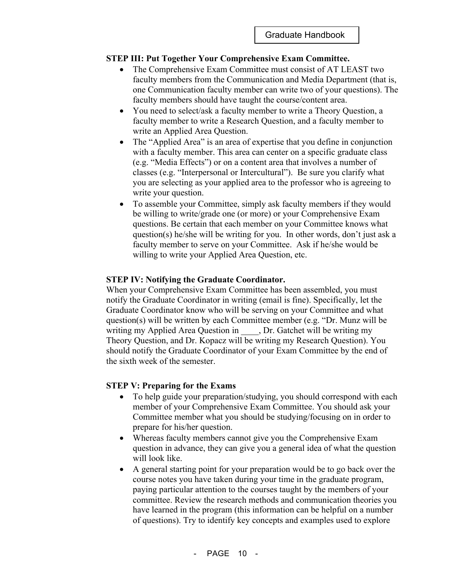#### **STEP III: Put Together Your Comprehensive Exam Committee.**

- The Comprehensive Exam Committee must consist of AT LEAST two faculty members from the Communication and Media Department (that is, one Communication faculty member can write two of your questions). The faculty members should have taught the course/content area.
- You need to select/ask a faculty member to write a Theory Ouestion, a faculty member to write a Research Question, and a faculty member to write an Applied Area Question.
- The "Applied Area" is an area of expertise that you define in conjunction with a faculty member. This area can center on a specific graduate class (e.g. "Media Effects") or on a content area that involves a number of classes (e.g. "Interpersonal or Intercultural"). Be sure you clarify what you are selecting as your applied area to the professor who is agreeing to write your question.
- To assemble your Committee, simply ask faculty members if they would be willing to write/grade one (or more) or your Comprehensive Exam questions. Be certain that each member on your Committee knows what question(s) he/she will be writing for you. In other words, don't just ask a faculty member to serve on your Committee. Ask if he/she would be willing to write your Applied Area Question, etc.

#### **STEP IV: Notifying the Graduate Coordinator.**

When your Comprehensive Exam Committee has been assembled, you must notify the Graduate Coordinator in writing (email is fine). Specifically, let the Graduate Coordinator know who will be serving on your Committee and what question(s) will be written by each Committee member (e.g. "Dr. Munz will be writing my Applied Area Question in \_\_\_\_, Dr. Gatchet will be writing my Theory Question, and Dr. Kopacz will be writing my Research Question). You should notify the Graduate Coordinator of your Exam Committee by the end of the sixth week of the semester.

#### **STEP V: Preparing for the Exams**

- To help guide your preparation/studying, you should correspond with each member of your Comprehensive Exam Committee. You should ask your Committee member what you should be studying/focusing on in order to prepare for his/her question.
- Whereas faculty members cannot give you the Comprehensive Exam question in advance, they can give you a general idea of what the question will look like.
- A general starting point for your preparation would be to go back over the course notes you have taken during your time in the graduate program, paying particular attention to the courses taught by the members of your committee. Review the research methods and communication theories you have learned in the program (this information can be helpful on a number of questions). Try to identify key concepts and examples used to explore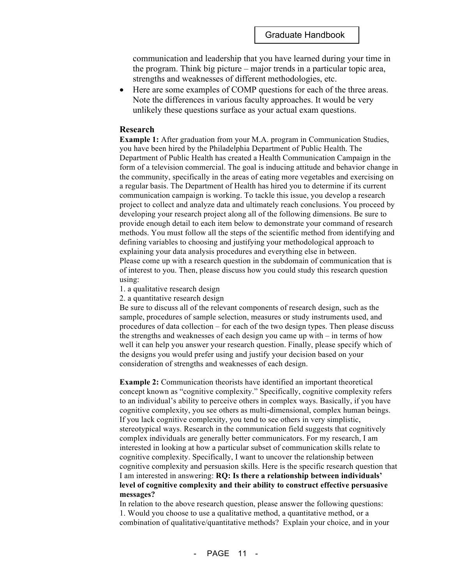communication and leadership that you have learned during your time in the program. Think big picture – major trends in a particular topic area, strengths and weaknesses of different methodologies, etc.

• Here are some examples of COMP questions for each of the three areas. Note the differences in various faculty approaches. It would be very unlikely these questions surface as your actual exam questions.

#### **Research**

**Example 1:** After graduation from your M.A. program in Communication Studies, you have been hired by the Philadelphia Department of Public Health. The Department of Public Health has created a Health Communication Campaign in the form of a television commercial. The goal is inducing attitude and behavior change in the community, specifically in the areas of eating more vegetables and exercising on a regular basis. The Department of Health has hired you to determine if its current communication campaign is working. To tackle this issue, you develop a research project to collect and analyze data and ultimately reach conclusions. You proceed by developing your research project along all of the following dimensions. Be sure to provide enough detail to each item below to demonstrate your command of research methods. You must follow all the steps of the scientific method from identifying and defining variables to choosing and justifying your methodological approach to explaining your data analysis procedures and everything else in between. Please come up with a research question in the subdomain of communication that is of interest to you. Then, please discuss how you could study this research question using:

- 1. a qualitative research design
- 2. a quantitative research design

Be sure to discuss all of the relevant components of research design, such as the sample, procedures of sample selection, measures or study instruments used, and procedures of data collection – for each of the two design types. Then please discuss the strengths and weaknesses of each design you came up with – in terms of how well it can help you answer your research question. Finally, please specify which of the designs you would prefer using and justify your decision based on your consideration of strengths and weaknesses of each design.

**Example 2:** Communication theorists have identified an important theoretical concept known as "cognitive complexity." Specifically, cognitive complexity refers to an individual's ability to perceive others in complex ways. Basically, if you have cognitive complexity, you see others as multi-dimensional, complex human beings. If you lack cognitive complexity, you tend to see others in very simplistic, stereotypical ways. Research in the communication field suggests that cognitively complex individuals are generally better communicators. For my research, I am interested in looking at how a particular subset of communication skills relate to cognitive complexity. Specifically, I want to uncover the relationship between cognitive complexity and persuasion skills. Here is the specific research question that I am interested in answering: **RQ: Is there a relationship between individuals' level of cognitive complexity and their ability to construct effective persuasive messages?**

In relation to the above research question, please answer the following questions: 1. Would you choose to use a qualitative method, a quantitative method, or a combination of qualitative/quantitative methods? Explain your choice, and in your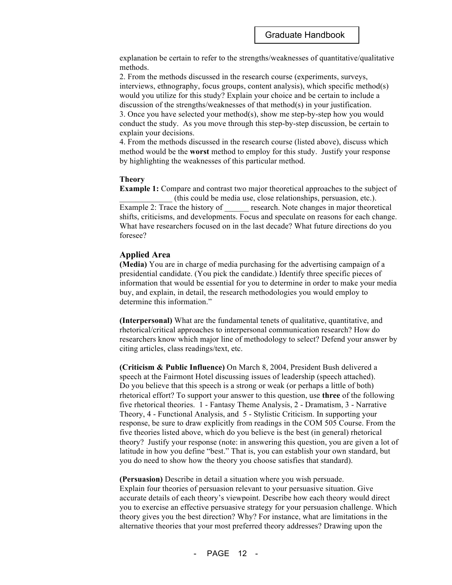explanation be certain to refer to the strengths/weaknesses of quantitative/qualitative methods.

2. From the methods discussed in the research course (experiments, surveys, interviews, ethnography, focus groups, content analysis), which specific method(s) would you utilize for this study? Explain your choice and be certain to include a discussion of the strengths/weaknesses of that method(s) in your justification.

3. Once you have selected your method(s), show me step-by-step how you would conduct the study. As you move through this step-by-step discussion, be certain to explain your decisions.

4. From the methods discussed in the research course (listed above), discuss which method would be the **worst** method to employ for this study. Justify your response by highlighting the weaknesses of this particular method.

#### **Theory**

**Example 1:** Compare and contrast two major theoretical approaches to the subject of \_\_\_\_\_\_\_\_\_\_\_\_\_ (this could be media use, close relationships, persuasion, etc.). Example 2: Trace the history of research. Note changes in major theoretical shifts, criticisms, and developments. Focus and speculate on reasons for each change. What have researchers focused on in the last decade? What future directions do you foresee?

#### **Applied Area**

**(Media)** You are in charge of media purchasing for the advertising campaign of a presidential candidate. (You pick the candidate.) Identify three specific pieces of information that would be essential for you to determine in order to make your media buy, and explain, in detail, the research methodologies you would employ to determine this information."

**(Interpersonal)** What are the fundamental tenets of qualitative, quantitative, and rhetorical/critical approaches to interpersonal communication research? How do researchers know which major line of methodology to select? Defend your answer by citing articles, class readings/text, etc.

**(Criticism & Public Influence)** On March 8, 2004, President Bush delivered a speech at the Fairmont Hotel discussing issues of leadership (speech attached). Do you believe that this speech is a strong or weak (or perhaps a little of both) rhetorical effort? To support your answer to this question, use **three** of the following five rhetorical theories. 1 - Fantasy Theme Analysis, 2 - Dramatism, 3 - Narrative Theory, 4 - Functional Analysis, and 5 - Stylistic Criticism. In supporting your response, be sure to draw explicitly from readings in the COM 505 Course. From the five theories listed above, which do you believe is the best (in general) rhetorical theory? Justify your response (note: in answering this question, you are given a lot of latitude in how you define "best." That is, you can establish your own standard, but you do need to show how the theory you choose satisfies that standard).

**(Persuasion)** Describe in detail a situation where you wish persuade. Explain four theories of persuasion relevant to your persuasive situation. Give accurate details of each theory's viewpoint. Describe how each theory would direct you to exercise an effective persuasive strategy for your persuasion challenge. Which theory gives you the best direction? Why? For instance, what are limitations in the alternative theories that your most preferred theory addresses? Drawing upon the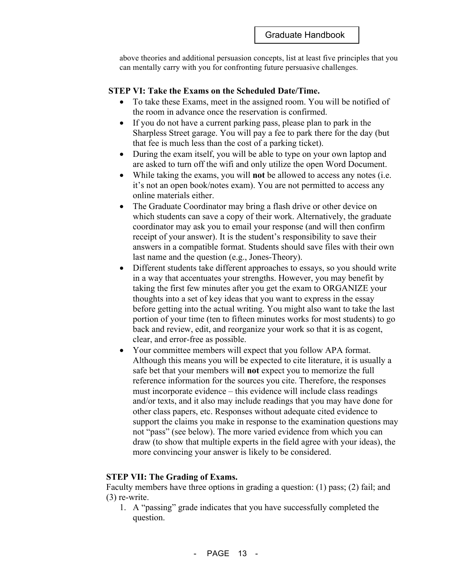above theories and additional persuasion concepts, list at least five principles that you can mentally carry with you for confronting future persuasive challenges.

#### **STEP VI: Take the Exams on the Scheduled Date/Time.**

- To take these Exams, meet in the assigned room. You will be notified of the room in advance once the reservation is confirmed.
- If you do not have a current parking pass, please plan to park in the Sharpless Street garage. You will pay a fee to park there for the day (but that fee is much less than the cost of a parking ticket).
- During the exam itself, you will be able to type on your own laptop and are asked to turn off the wifi and only utilize the open Word Document.
- While taking the exams, you will **not** be allowed to access any notes (i.e. it's not an open book/notes exam). You are not permitted to access any online materials either.
- The Graduate Coordinator may bring a flash drive or other device on which students can save a copy of their work. Alternatively, the graduate coordinator may ask you to email your response (and will then confirm receipt of your answer). It is the student's responsibility to save their answers in a compatible format. Students should save files with their own last name and the question (e.g., Jones-Theory).
- Different students take different approaches to essays, so you should write in a way that accentuates your strengths. However, you may benefit by taking the first few minutes after you get the exam to ORGANIZE your thoughts into a set of key ideas that you want to express in the essay before getting into the actual writing. You might also want to take the last portion of your time (ten to fifteen minutes works for most students) to go back and review, edit, and reorganize your work so that it is as cogent, clear, and error-free as possible.
- Your committee members will expect that you follow APA format. Although this means you will be expected to cite literature, it is usually a safe bet that your members will **not** expect you to memorize the full reference information for the sources you cite. Therefore, the responses must incorporate evidence – this evidence will include class readings and/or texts, and it also may include readings that you may have done for other class papers, etc. Responses without adequate cited evidence to support the claims you make in response to the examination questions may not "pass" (see below). The more varied evidence from which you can draw (to show that multiple experts in the field agree with your ideas), the more convincing your answer is likely to be considered.

#### **STEP VII: The Grading of Exams.**

Faculty members have three options in grading a question: (1) pass; (2) fail; and (3) re-write.

1. A "passing" grade indicates that you have successfully completed the question.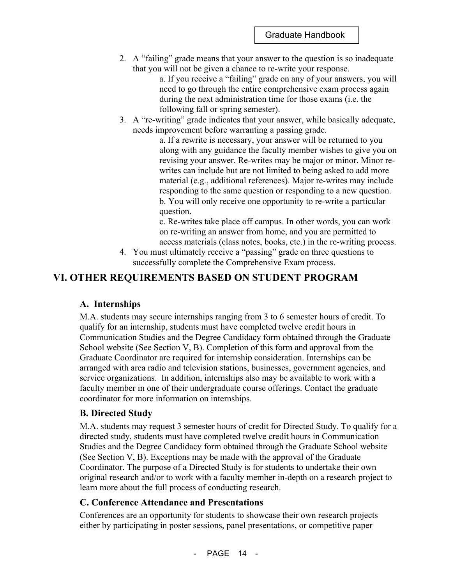2. A "failing" grade means that your answer to the question is so inadequate that you will not be given a chance to re-write your response.

a. If you receive a "failing" grade on any of your answers, you will need to go through the entire comprehensive exam process again during the next administration time for those exams (i.e. the following fall or spring semester).

3. A "re-writing" grade indicates that your answer, while basically adequate, needs improvement before warranting a passing grade.

> a. If a rewrite is necessary, your answer will be returned to you along with any guidance the faculty member wishes to give you on revising your answer. Re-writes may be major or minor. Minor rewrites can include but are not limited to being asked to add more material (e.g., additional references). Major re-writes may include responding to the same question or responding to a new question. b. You will only receive one opportunity to re-write a particular question.

> c. Re-writes take place off campus. In other words, you can work on re-writing an answer from home, and you are permitted to access materials (class notes, books, etc.) in the re-writing process.

4. You must ultimately receive a "passing" grade on three questions to successfully complete the Comprehensive Exam process.

# **VI. OTHER REQUIREMENTS BASED ON STUDENT PROGRAM**

#### **A. Internships**

M.A. students may secure internships ranging from 3 to 6 semester hours of credit. To qualify for an internship, students must have completed twelve credit hours in Communication Studies and the Degree Candidacy form obtained through the Graduate School website (See Section V, B). Completion of this form and approval from the Graduate Coordinator are required for internship consideration. Internships can be arranged with area radio and television stations, businesses, government agencies, and service organizations. In addition, internships also may be available to work with a faculty member in one of their undergraduate course offerings. Contact the graduate coordinator for more information on internships.

#### **B. Directed Study**

M.A. students may request 3 semester hours of credit for Directed Study. To qualify for a directed study, students must have completed twelve credit hours in Communication Studies and the Degree Candidacy form obtained through the Graduate School website (See Section V, B). Exceptions may be made with the approval of the Graduate Coordinator. The purpose of a Directed Study is for students to undertake their own original research and/or to work with a faculty member in-depth on a research project to learn more about the full process of conducting research.

#### **C. Conference Attendance and Presentations**

Conferences are an opportunity for students to showcase their own research projects either by participating in poster sessions, panel presentations, or competitive paper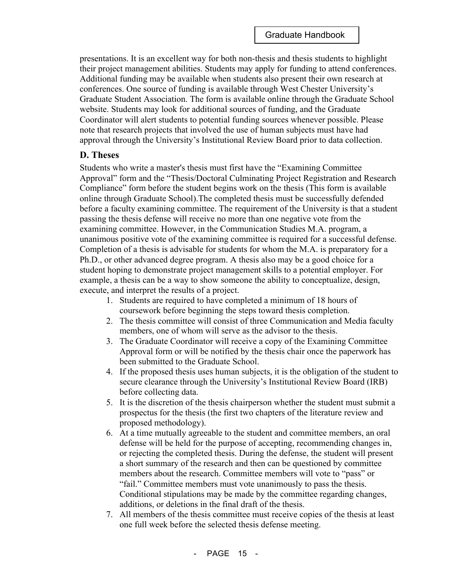presentations. It is an excellent way for both non-thesis and thesis students to highlight their project management abilities. Students may apply for funding to attend conferences. Additional funding may be available when students also present their own research at conferences. One source of funding is available through West Chester University's Graduate Student Association. The form is available online through the Graduate School website. Students may look for additional sources of funding, and the Graduate Coordinator will alert students to potential funding sources whenever possible. Please note that research projects that involved the use of human subjects must have had approval through the University's Institutional Review Board prior to data collection.

#### **D. Theses**

Students who write a master's thesis must first have the "Examining Committee Approval" form and the "Thesis/Doctoral Culminating Project Registration and Research Compliance" form before the student begins work on the thesis (This form is available online through Graduate School).The completed thesis must be successfully defended before a faculty examining committee. The requirement of the University is that a student passing the thesis defense will receive no more than one negative vote from the examining committee. However, in the Communication Studies M.A. program, a unanimous positive vote of the examining committee is required for a successful defense. Completion of a thesis is advisable for students for whom the M.A. is preparatory for a Ph.D., or other advanced degree program. A thesis also may be a good choice for a student hoping to demonstrate project management skills to a potential employer. For example, a thesis can be a way to show someone the ability to conceptualize, design, execute, and interpret the results of a project.

- 1. Students are required to have completed a minimum of 18 hours of coursework before beginning the steps toward thesis completion.
- 2. The thesis committee will consist of three Communication and Media faculty members, one of whom will serve as the advisor to the thesis.
- 3. The Graduate Coordinator will receive a copy of the Examining Committee Approval form or will be notified by the thesis chair once the paperwork has been submitted to the Graduate School.
- 4. If the proposed thesis uses human subjects, it is the obligation of the student to secure clearance through the University's Institutional Review Board (IRB) before collecting data.
- 5. It is the discretion of the thesis chairperson whether the student must submit a prospectus for the thesis (the first two chapters of the literature review and proposed methodology).
- 6. At a time mutually agreeable to the student and committee members, an oral defense will be held for the purpose of accepting, recommending changes in, or rejecting the completed thesis. During the defense, the student will present a short summary of the research and then can be questioned by committee members about the research. Committee members will vote to "pass" or "fail." Committee members must vote unanimously to pass the thesis. Conditional stipulations may be made by the committee regarding changes, additions, or deletions in the final draft of the thesis.
- 7. All members of the thesis committee must receive copies of the thesis at least one full week before the selected thesis defense meeting.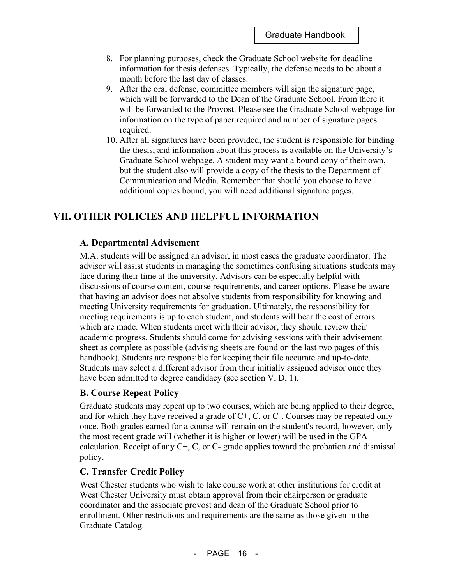- 8. For planning purposes, check the Graduate School website for deadline information for thesis defenses. Typically, the defense needs to be about a month before the last day of classes.
- 9. After the oral defense, committee members will sign the signature page, which will be forwarded to the Dean of the Graduate School. From there it will be forwarded to the Provost. Please see the Graduate School webpage for information on the type of paper required and number of signature pages required.
- 10. After all signatures have been provided, the student is responsible for binding the thesis, and information about this process is available on the University's Graduate School webpage. A student may want a bound copy of their own, but the student also will provide a copy of the thesis to the Department of Communication and Media. Remember that should you choose to have additional copies bound, you will need additional signature pages.

# **VII. OTHER POLICIES AND HELPFUL INFORMATION**

# **A. Departmental Advisement**

M.A. students will be assigned an advisor, in most cases the graduate coordinator. The advisor will assist students in managing the sometimes confusing situations students may face during their time at the university. Advisors can be especially helpful with discussions of course content, course requirements, and career options. Please be aware that having an advisor does not absolve students from responsibility for knowing and meeting University requirements for graduation. Ultimately, the responsibility for meeting requirements is up to each student, and students will bear the cost of errors which are made. When students meet with their advisor, they should review their academic progress. Students should come for advising sessions with their advisement sheet as complete as possible (advising sheets are found on the last two pages of this handbook). Students are responsible for keeping their file accurate and up-to-date. Students may select a different advisor from their initially assigned advisor once they have been admitted to degree candidacy (see section V, D, 1).

# **B. Course Repeat Policy**

Graduate students may repeat up to two courses, which are being applied to their degree, and for which they have received a grade of  $C<sub>+</sub>$ ,  $C<sub>z</sub>$ , or  $C<sub>z</sub>$ . Courses may be repeated only once. Both grades earned for a course will remain on the student's record, however, only the most recent grade will (whether it is higher or lower) will be used in the GPA calculation. Receipt of any  $C^+$ , C, or C- grade applies toward the probation and dismissal policy.

# **C. Transfer Credit Policy**

West Chester students who wish to take course work at other institutions for credit at West Chester University must obtain approval from their chairperson or graduate coordinator and the associate provost and dean of the Graduate School prior to enrollment. Other restrictions and requirements are the same as those given in the Graduate Catalog.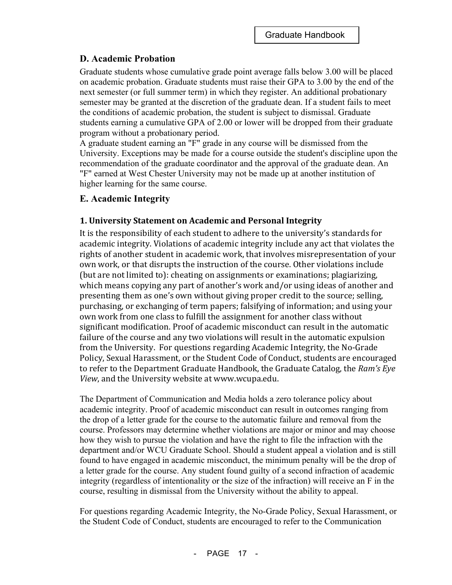## **D. Academic Probation**

Graduate students whose cumulative grade point average falls below 3.00 will be placed on academic probation. Graduate students must raise their GPA to 3.00 by the end of the next semester (or full summer term) in which they register. An additional probationary semester may be granted at the discretion of the graduate dean. If a student fails to meet the conditions of academic probation, the student is subject to dismissal. Graduate students earning a cumulative GPA of 2.00 or lower will be dropped from their graduate program without a probationary period.

A graduate student earning an "F" grade in any course will be dismissed from the University. Exceptions may be made for a course outside the student's discipline upon the recommendation of the graduate coordinator and the approval of the graduate dean. An "F" earned at West Chester University may not be made up at another institution of higher learning for the same course.

## **E. Academic Integrity**

#### **1. University Statement on Academic and Personal Integrity**

It is the responsibility of each student to adhere to the university's standards for academic integrity. Violations of academic integrity include any act that violates the rights of another student in academic work, that involves misrepresentation of your own work, or that disrupts the instruction of the course. Other violations include (but are not limited to): cheating on assignments or examinations; plagiarizing, which means copying any part of another's work and/or using ideas of another and presenting them as one's own without giving proper credit to the source; selling, purchasing, or exchanging of term papers; falsifying of information; and using your own work from one class to fulfill the assignment for another class without significant modification. Proof of academic misconduct can result in the automatic failure of the course and any two violations will result in the automatic expulsion from the University. For questions regarding Academic Integrity, the No-Grade Policy, Sexual Harassment, or the Student Code of Conduct, students are encouraged to refer to the Department Graduate Handbook, the Graduate Catalog, the Ram's Eye *View*, and the University website at www.wcupa.edu.

The Department of Communication and Media holds a zero tolerance policy about academic integrity. Proof of academic misconduct can result in outcomes ranging from the drop of a letter grade for the course to the automatic failure and removal from the course. Professors may determine whether violations are major or minor and may choose how they wish to pursue the violation and have the right to file the infraction with the department and/or WCU Graduate School. Should a student appeal a violation and is still found to have engaged in academic misconduct, the minimum penalty will be the drop of a letter grade for the course. Any student found guilty of a second infraction of academic integrity (regardless of intentionality or the size of the infraction) will receive an F in the course, resulting in dismissal from the University without the ability to appeal.

For questions regarding Academic Integrity, the No-Grade Policy, Sexual Harassment, or the Student Code of Conduct, students are encouraged to refer to the Communication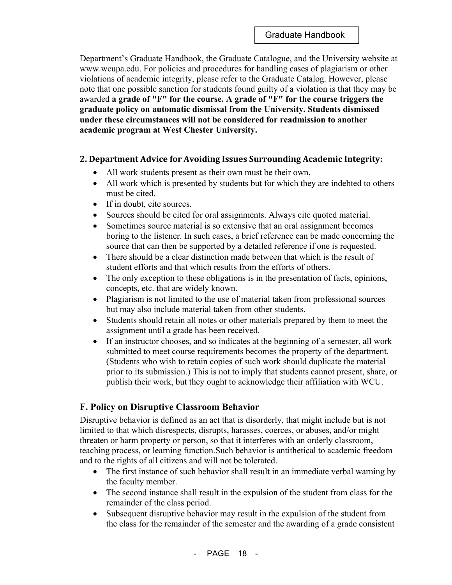Department's Graduate Handbook, the Graduate Catalogue, and the University website at www.wcupa.edu. For policies and procedures for handling cases of plagiarism or other violations of academic integrity, please refer to the Graduate Catalog. However, please note that one possible sanction for students found guilty of a violation is that they may be awarded **a grade of "F" for the course. A grade of "F" for the course triggers the graduate policy on automatic dismissal from the University. Students dismissed under these circumstances will not be considered for readmission to another academic program at West Chester University.**

## **2. Department Advice for Avoiding Issues Surrounding Academic Integrity:**

- All work students present as their own must be their own.
- All work which is presented by students but for which they are indebted to others must be cited.
- If in doubt, cite sources.
- Sources should be cited for oral assignments. Always cite quoted material.
- Sometimes source material is so extensive that an oral assignment becomes boring to the listener. In such cases, a brief reference can be made concerning the source that can then be supported by a detailed reference if one is requested.
- There should be a clear distinction made between that which is the result of student efforts and that which results from the efforts of others.
- The only exception to these obligations is in the presentation of facts, opinions, concepts, etc. that are widely known.
- Plagiarism is not limited to the use of material taken from professional sources but may also include material taken from other students.
- Students should retain all notes or other materials prepared by them to meet the assignment until a grade has been received.
- If an instructor chooses, and so indicates at the beginning of a semester, all work submitted to meet course requirements becomes the property of the department. (Students who wish to retain copies of such work should duplicate the material prior to its submission.) This is not to imply that students cannot present, share, or publish their work, but they ought to acknowledge their affiliation with WCU.

# **F. Policy on Disruptive Classroom Behavior**

Disruptive behavior is defined as an act that is disorderly, that might include but is not limited to that which disrespects, disrupts, harasses, coerces, or abuses, and/or might threaten or harm property or person, so that it interferes with an orderly classroom, teaching process, or learning function.Such behavior is antithetical to academic freedom and to the rights of all citizens and will not be tolerated.

- The first instance of such behavior shall result in an immediate verbal warning by the faculty member.
- The second instance shall result in the expulsion of the student from class for the remainder of the class period.
- Subsequent disruptive behavior may result in the expulsion of the student from the class for the remainder of the semester and the awarding of a grade consistent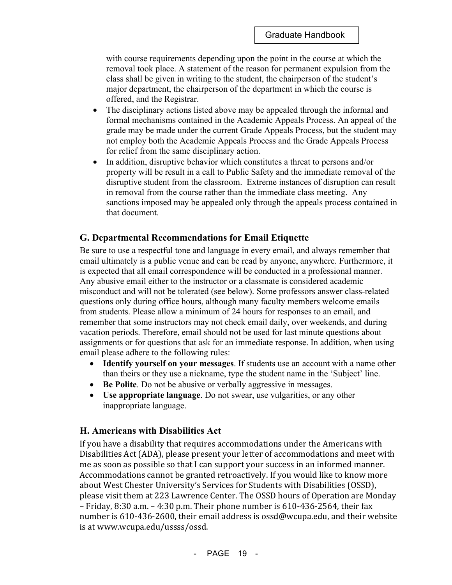with course requirements depending upon the point in the course at which the removal took place. A statement of the reason for permanent expulsion from the class shall be given in writing to the student, the chairperson of the student's major department, the chairperson of the department in which the course is offered, and the Registrar.

- The disciplinary actions listed above may be appealed through the informal and formal mechanisms contained in the Academic Appeals Process. An appeal of the grade may be made under the current Grade Appeals Process, but the student may not employ both the Academic Appeals Process and the Grade Appeals Process for relief from the same disciplinary action.
- In addition, disruptive behavior which constitutes a threat to persons and/or property will be result in a call to Public Safety and the immediate removal of the disruptive student from the classroom. Extreme instances of disruption can result in removal from the course rather than the immediate class meeting. Any sanctions imposed may be appealed only through the appeals process contained in that document.

#### **G. Departmental Recommendations for Email Etiquette**

Be sure to use a respectful tone and language in every email, and always remember that email ultimately is a public venue and can be read by anyone, anywhere. Furthermore, it is expected that all email correspondence will be conducted in a professional manner. Any abusive email either to the instructor or a classmate is considered academic misconduct and will not be tolerated (see below). Some professors answer class-related questions only during office hours, although many faculty members welcome emails from students. Please allow a minimum of 24 hours for responses to an email, and remember that some instructors may not check email daily, over weekends, and during vacation periods. Therefore, email should not be used for last minute questions about assignments or for questions that ask for an immediate response. In addition, when using email please adhere to the following rules:

- **Identify yourself on your messages**. If students use an account with a name other than theirs or they use a nickname, type the student name in the 'Subject' line.
- **Be Polite**. Do not be abusive or verbally aggressive in messages.
- **Use appropriate language**. Do not swear, use vulgarities, or any other inappropriate language.

#### **H. Americans with Disabilities Act**

If you have a disability that requires accommodations under the Americans with Disabilities Act (ADA), please present your letter of accommodations and meet with me as soon as possible so that I can support your success in an informed manner. Accommodations cannot be granted retroactively. If you would like to know more about West Chester University's Services for Students with Disabilities (OSSD), please visit them at 223 Lawrence Center. The OSSD hours of Operation are Monday – Friday, 8:30 a.m. – 4:30 p.m. Their phone number is  $610-436-2564$ , their fax number is  $610-436-2600$ , their email address is ossd@wcupa.edu, and their website is at www.wcupa.edu/ussss/ossd.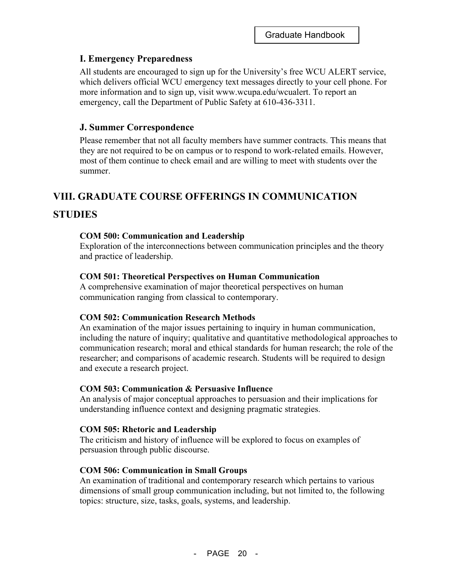## **I. Emergency Preparedness**

All students are encouraged to sign up for the University's free WCU ALERT service, which delivers official WCU emergency text messages directly to your cell phone. For more information and to sign up, visit www.wcupa.edu/wcualert. To report an emergency, call the Department of Public Safety at 610-436-3311.

## **J. Summer Correspondence**

Please remember that not all faculty members have summer contracts. This means that they are not required to be on campus or to respond to work-related emails. However, most of them continue to check email and are willing to meet with students over the summer.

# **VIII. GRADUATE COURSE OFFERINGS IN COMMUNICATION**

# **STUDIES**

#### **COM 500: Communication and Leadership**

Exploration of the interconnections between communication principles and the theory and practice of leadership.

#### **COM 501: Theoretical Perspectives on Human Communication**

A comprehensive examination of major theoretical perspectives on human communication ranging from classical to contemporary.

#### **COM 502: Communication Research Methods**

An examination of the major issues pertaining to inquiry in human communication, including the nature of inquiry; qualitative and quantitative methodological approaches to communication research; moral and ethical standards for human research; the role of the researcher; and comparisons of academic research. Students will be required to design and execute a research project.

#### **COM 503: Communication & Persuasive Influence**

An analysis of major conceptual approaches to persuasion and their implications for understanding influence context and designing pragmatic strategies.

#### **COM 505: Rhetoric and Leadership**

The criticism and history of influence will be explored to focus on examples of persuasion through public discourse.

#### **COM 506: Communication in Small Groups**

An examination of traditional and contemporary research which pertains to various dimensions of small group communication including, but not limited to, the following topics: structure, size, tasks, goals, systems, and leadership.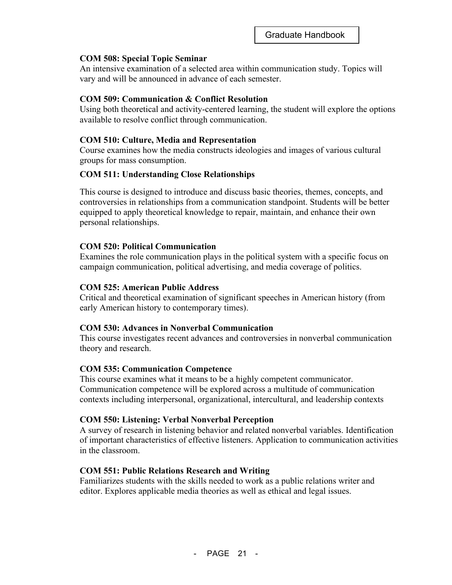#### **COM 508: Special Topic Seminar**

An intensive examination of a selected area within communication study. Topics will vary and will be announced in advance of each semester.

#### **COM 509: Communication & Conflict Resolution**

Using both theoretical and activity-centered learning, the student will explore the options available to resolve conflict through communication.

#### **COM 510: Culture, Media and Representation**

Course examines how the media constructs ideologies and images of various cultural groups for mass consumption.

#### **COM 511: Understanding Close Relationships**

This course is designed to introduce and discuss basic theories, themes, concepts, and controversies in relationships from a communication standpoint. Students will be better equipped to apply theoretical knowledge to repair, maintain, and enhance their own personal relationships.

#### **COM 520: Political Communication**

Examines the role communication plays in the political system with a specific focus on campaign communication, political advertising, and media coverage of politics.

#### **COM 525: American Public Address**

Critical and theoretical examination of significant speeches in American history (from early American history to contemporary times).

#### **COM 530: Advances in Nonverbal Communication**

This course investigates recent advances and controversies in nonverbal communication theory and research.

#### **COM 535: Communication Competence**

This course examines what it means to be a highly competent communicator. Communication competence will be explored across a multitude of communication contexts including interpersonal, organizational, intercultural, and leadership contexts

#### **COM 550: Listening: Verbal Nonverbal Perception**

A survey of research in listening behavior and related nonverbal variables. Identification of important characteristics of effective listeners. Application to communication activities in the classroom.

#### **COM 551: Public Relations Research and Writing**

Familiarizes students with the skills needed to work as a public relations writer and editor. Explores applicable media theories as well as ethical and legal issues.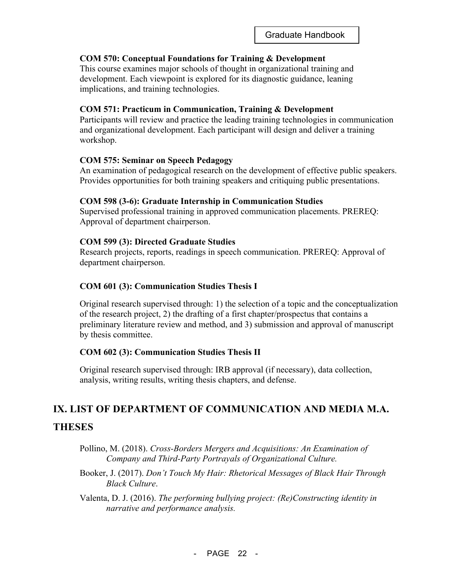#### **COM 570: Conceptual Foundations for Training & Development**

This course examines major schools of thought in organizational training and development. Each viewpoint is explored for its diagnostic guidance, leaning implications, and training technologies.

#### **COM 571: Practicum in Communication, Training & Development**

Participants will review and practice the leading training technologies in communication and organizational development. Each participant will design and deliver a training workshop.

#### **COM 575: Seminar on Speech Pedagogy**

An examination of pedagogical research on the development of effective public speakers. Provides opportunities for both training speakers and critiquing public presentations.

#### **COM 598 (3-6): Graduate Internship in Communication Studies**

Supervised professional training in approved communication placements. PREREQ: Approval of department chairperson.

#### **COM 599 (3): Directed Graduate Studies**

Research projects, reports, readings in speech communication. PREREQ: Approval of department chairperson.

#### **COM 601 (3): Communication Studies Thesis I**

Original research supervised through: 1) the selection of a topic and the conceptualization of the research project, 2) the drafting of a first chapter/prospectus that contains a preliminary literature review and method, and 3) submission and approval of manuscript by thesis committee.

#### **COM 602 (3): Communication Studies Thesis II**

Original research supervised through: IRB approval (if necessary), data collection, analysis, writing results, writing thesis chapters, and defense.

# **IX. LIST OF DEPARTMENT OF COMMUNICATION AND MEDIA M.A. THESES**

- Pollino, M. (2018). *Cross-Borders Mergers and Acquisitions: An Examination of Company and Third-Party Portrayals of Organizational Culture.*
- Booker, J. (2017). *Don't Touch My Hair: Rhetorical Messages of Black Hair Through Black Culture*.
- Valenta, D. J. (2016). *The performing bullying project: (Re)Constructing identity in narrative and performance analysis.*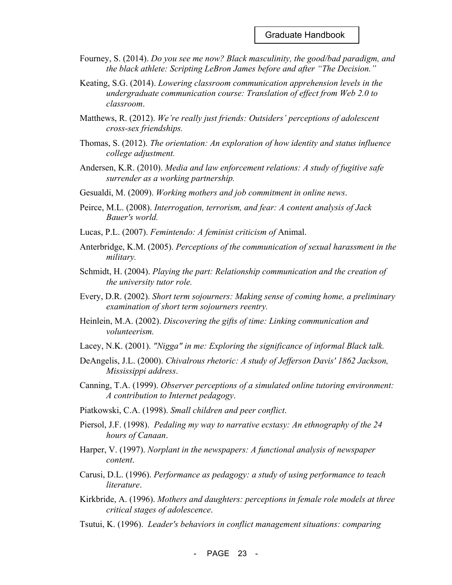- Fourney, S. (2014). *Do you see me now? Black masculinity, the good/bad paradigm, and the black athlete: Scripting LeBron James before and after "The Decision."*
- Keating, S.G. (2014). *Lowering classroom communication apprehension levels in the undergraduate communication course: Translation of effect from Web 2.0 to classroom*.
- Matthews, R. (2012). *We're really just friends: Outsiders' perceptions of adolescent cross-sex friendships.*
- Thomas, S. (2012). *The orientation: An exploration of how identity and status influence college adjustment.*
- Andersen, K.R. (2010). *Media and law enforcement relations: A study of fugitive safe surrender as a working partnership.*
- Gesualdi, M. (2009). *Working mothers and job commitment in online news*.
- Peirce, M.L. (2008). *Interrogation, terrorism, and fear: A content analysis of Jack Bauer's world.*
- Lucas, P.L. (2007). *Femintendo: A feminist criticism of* Animal.
- Anterbridge, K.M. (2005). *Perceptions of the communication of sexual harassment in the military.*
- Schmidt, H. (2004). *Playing the part: Relationship communication and the creation of the university tutor role.*
- Every, D.R. (2002). *Short term sojourners: Making sense of coming home, a preliminary examination of short term sojourners reentry.*
- Heinlein, M.A. (2002). *Discovering the gifts of time: Linking communication and volunteerism.*
- Lacey, N.K. (2001). *"Nigga" in me: Exploring the significance of informal Black talk.*
- DeAngelis, J.L. (2000). *Chivalrous rhetoric: A study of Jefferson Davis' 1862 Jackson, Mississippi address*.
- Canning, T.A. (1999). *Observer perceptions of a simulated online tutoring environment: A contribution to Internet pedagogy*.
- Piatkowski, C.A. (1998). *Small children and peer conflict*.
- Piersol, J.F. (1998). *Pedaling my way to narrative ecstasy: An ethnography of the 24 hours of Canaan*.
- Harper, V. (1997). *Norplant in the newspapers: A functional analysis of newspaper content*.
- Carusi, D.L. (1996). *Performance as pedagogy: a study of using performance to teach literature*.
- Kirkbride, A. (1996). *Mothers and daughters: perceptions in female role models at three critical stages of adolescence*.
- Tsutui, K. (1996). *Leader's behaviors in conflict management situations: comparing*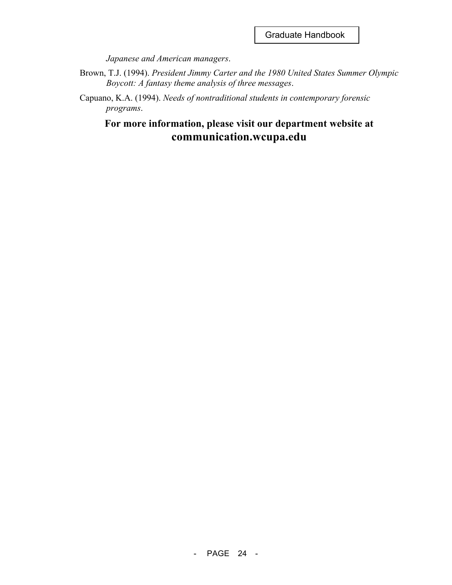*Japanese and American managers*.

- Brown, T.J. (1994). *President Jimmy Carter and the 1980 United States Summer Olympic Boycott: A fantasy theme analysis of three messages*.
- Capuano, K.A. (1994). *Needs of nontraditional students in contemporary forensic programs*.

# **For more information, please visit our department website at communication.wcupa.edu**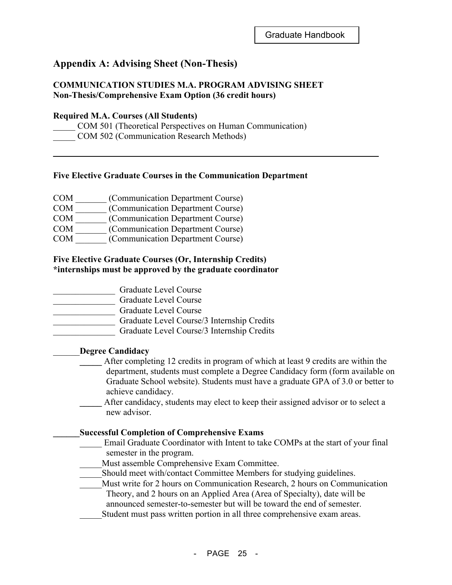# **Appendix A: Advising Sheet (Non-Thesis)**

#### **COMMUNICATION STUDIES M.A. PROGRAM ADVISING SHEET Non-Thesis/Comprehensive Exam Option (36 credit hours)**

#### **Required M.A. Courses (All Students)**

COM 501 (Theoretical Perspectives on Human Communication) \_\_\_\_\_ COM 502 (Communication Research Methods)

#### **Five Elective Graduate Courses in the Communication Department**

| (Communication Department Course) |
|-----------------------------------|
|                                   |

COM \_\_\_\_\_\_\_ (Communication Department Course)

COM \_\_\_\_\_\_\_ (Communication Department Course)

COM \_\_\_\_\_\_\_ (Communication Department Course)

COM \_\_\_\_\_\_\_ (Communication Department Course)

#### **Five Elective Graduate Courses (Or, Internship Credits) \*internships must be approved by the graduate coordinator**

\_\_\_\_\_\_\_\_\_\_\_\_\_\_ Graduate Level Course

\_\_\_\_\_\_\_\_\_\_\_\_\_\_ Graduate Level Course

\_\_\_\_\_\_\_\_\_\_\_\_\_\_ Graduate Level Course

\_\_\_\_\_\_\_\_\_\_\_\_\_\_ Graduate Level Course/3 Internship Credits

\_\_\_\_\_\_\_\_\_\_\_\_\_\_ Graduate Level Course/3 Internship Credits

#### \_\_\_\_\_\_**Degree Candidacy**

- **\_\_\_\_\_** After completing 12 credits in program of which at least 9 credits are within the department, students must complete a Degree Candidacy form (form available on Graduate School website). Students must have a graduate GPA of 3.0 or better to achieve candidacy.
- After candidacy, students may elect to keep their assigned advisor or to select a new advisor.

#### **\_\_\_\_\_\_Successful Completion of Comprehensive Exams**

- Email Graduate Coordinator with Intent to take COMPs at the start of your final semester in the program.
- Must assemble Comprehensive Exam Committee.
- \_\_\_\_\_Should meet with/contact Committee Members for studying guidelines.
- Must write for 2 hours on Communication Research, 2 hours on Communication Theory, and 2 hours on an Applied Area (Area of Specialty), date will be announced semester-to-semester but will be toward the end of semester.
- Student must pass written portion in all three comprehensive exam areas.